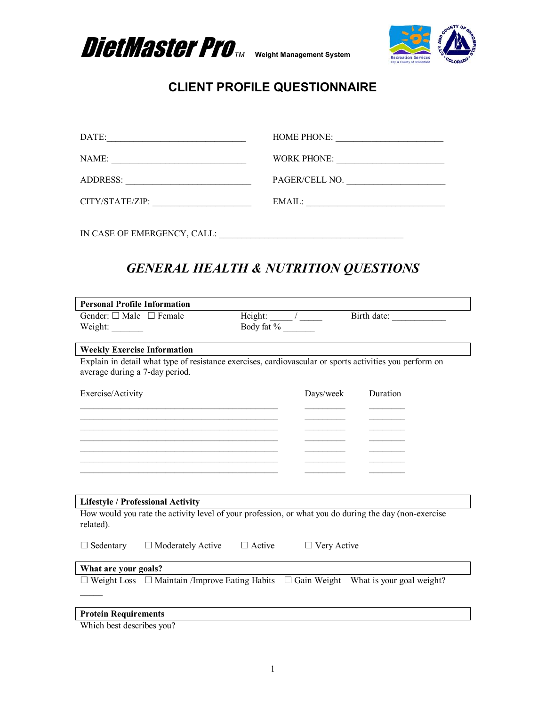



| DATE:<br><u> 1989 - Johann Stein, markin fan it ferstjer fan de ferstjer fan it ferstjer fan de ferstjer fan it ferstjer</u> |                |
|------------------------------------------------------------------------------------------------------------------------------|----------------|
| NAME:                                                                                                                        | WORK PHONE:    |
| ADDRESS:                                                                                                                     | PAGER/CELL NO. |
| CITY/STATE/ZIP:                                                                                                              | EMAIL:         |
| IN CASE OF EMERGENCY, CALL:                                                                                                  |                |

# *GENERAL HEALTH & NUTRITION QUESTIONS*

| <b>Personal Profile Information</b>     |                                                                                                         |                                 |                    |             |  |
|-----------------------------------------|---------------------------------------------------------------------------------------------------------|---------------------------------|--------------------|-------------|--|
| Gender: $\square$ Male $\square$ Female |                                                                                                         | Height: $\frac{1}{\sqrt{2\pi}}$ |                    | Birth date: |  |
| Weight:                                 |                                                                                                         | Body fat %                      |                    |             |  |
|                                         |                                                                                                         |                                 |                    |             |  |
| <b>Weekly Exercise Information</b>      |                                                                                                         |                                 |                    |             |  |
|                                         | Explain in detail what type of resistance exercises, cardiovascular or sports activities you perform on |                                 |                    |             |  |
| average during a 7-day period.          |                                                                                                         |                                 |                    |             |  |
|                                         |                                                                                                         |                                 |                    |             |  |
| Exercise/Activity                       |                                                                                                         |                                 | Days/week          | Duration    |  |
|                                         |                                                                                                         |                                 |                    |             |  |
|                                         |                                                                                                         |                                 |                    |             |  |
|                                         |                                                                                                         |                                 |                    |             |  |
|                                         |                                                                                                         |                                 |                    |             |  |
|                                         |                                                                                                         |                                 |                    |             |  |
|                                         |                                                                                                         |                                 |                    |             |  |
|                                         |                                                                                                         |                                 |                    |             |  |
|                                         |                                                                                                         |                                 |                    |             |  |
|                                         | <b>Lifestyle / Professional Activity</b>                                                                |                                 |                    |             |  |
|                                         | How would you rate the activity level of your profession, or what you do during the day (non-exercise   |                                 |                    |             |  |
| related).                               |                                                                                                         |                                 |                    |             |  |
| $\Box$ Sedentary                        | $\Box$ Moderately Active                                                                                | $\Box$ Active                   | $\Box$ Very Active |             |  |
| What are your goals?                    |                                                                                                         |                                 |                    |             |  |
|                                         | $\Box$ Weight Loss $\Box$ Maintain /Improve Eating Habits $\Box$ Gain Weight What is your goal weight?  |                                 |                    |             |  |
|                                         |                                                                                                         |                                 |                    |             |  |
|                                         |                                                                                                         |                                 |                    |             |  |
| <b>Protein Requirements</b>             |                                                                                                         |                                 |                    |             |  |

Which best describes you?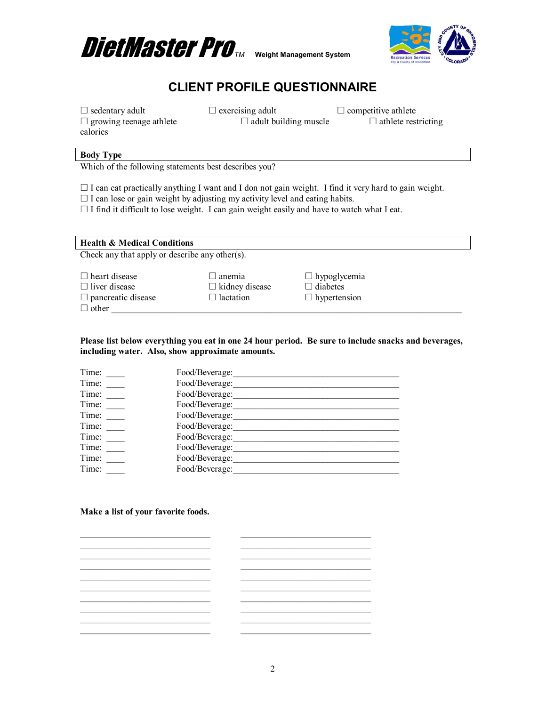



 $\Box$  sedentary adult  $\Box$  exercising adult  $\Box$  competitive athlete  $\Box$  growing teenage athlete  $\Box$  adult building muscle  $\Box$  athlete restricting calories

### **Body Type**

Which of the following statements best describes you?

- $\Box$  I can eat practically anything I want and I don not gain weight. I find it very hard to gain weight.
- $\Box$  I can lose or gain weight by adjusting my activity level and eating habits.

 $\Box$  I find it difficult to lose weight. I can gain weight easily and have to watch what I eat.

| <b>Health &amp; Medical Conditions</b>         |                       |                     |  |  |  |  |
|------------------------------------------------|-----------------------|---------------------|--|--|--|--|
| Check any that apply or describe any other(s). |                       |                     |  |  |  |  |
|                                                |                       |                     |  |  |  |  |
| $\Box$ heart disease                           | $\Box$ anemia         | $\Box$ hypoglycemia |  |  |  |  |
| $\Box$ liver disease                           | $\Box$ kidney disease | $\Box$ diabetes     |  |  |  |  |
| $\Box$ pancreatic disease                      | $\Box$ lactation      | $\Box$ hypertension |  |  |  |  |
| $\Box$ other                                   |                       |                     |  |  |  |  |

#### **Please list below everything you eat in one 24 hour period. Be sure to include snacks and beverages, including water. Also, show approximate amounts.**

| Food/Beverage: |
|----------------|
| Food/Beverage: |
| Food/Beverage: |
| Food/Beverage: |
| Food/Beverage: |
| Food/Beverage: |
| Food/Beverage: |
| Food/Beverage: |
| Food/Beverage: |
| Food/Beverage: |
|                |

#### **Make a list of your favorite foods.**

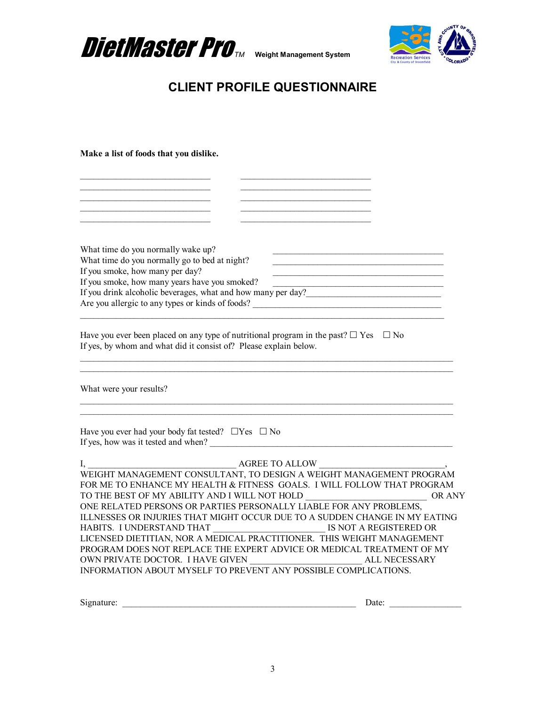



 $\frac{1}{2}$  ,  $\frac{1}{2}$  ,  $\frac{1}{2}$  ,  $\frac{1}{2}$  ,  $\frac{1}{2}$  ,  $\frac{1}{2}$  ,  $\frac{1}{2}$ \_\_\_\_\_\_\_\_\_\_\_\_\_\_\_\_\_\_\_\_\_\_\_\_\_\_\_\_\_ \_\_\_\_\_\_\_\_\_\_\_\_\_\_\_\_\_\_\_\_\_\_\_\_\_\_\_\_\_ \_\_\_\_\_\_\_\_\_\_\_\_\_\_\_\_\_\_\_\_\_\_\_\_\_\_\_\_\_ \_\_\_\_\_\_\_\_\_\_\_\_\_\_\_\_\_\_\_\_\_\_\_\_\_\_\_\_\_ \_\_\_\_\_\_\_\_\_\_\_\_\_\_\_\_\_\_\_\_\_\_\_\_\_\_\_\_\_ \_\_\_\_\_\_\_\_\_\_\_\_\_\_\_\_\_\_\_\_\_\_\_\_\_\_\_\_\_

**Make a list of foods that you dislike.** 

| What time do you normally wake up?                                                                                                                                        |        |
|---------------------------------------------------------------------------------------------------------------------------------------------------------------------------|--------|
| What time do you normally go to bed at night?                                                                                                                             |        |
| If you smoke, how many per day?<br>If you smoke, how many years have you smoked?                                                                                          |        |
| If you drink alcoholic beverages, what and how many per day?<br><u>Letting</u>                                                                                            |        |
| Are you allergic to any types or kinds of foods?                                                                                                                          |        |
|                                                                                                                                                                           |        |
| Have you ever been placed on any type of nutritional program in the past? $\square$ Yes $\square$ No<br>If yes, by whom and what did it consist of? Please explain below. |        |
| What were your results?                                                                                                                                                   |        |
| Have you ever had your body fat tested? $\Box$ Yes $\Box$ No<br>If yes, how was it tested and when?                                                                       |        |
|                                                                                                                                                                           |        |
| $\begin{tabular}{c} I, \\ \hline \textbf{WEIGHT MANAGEMENT CONSULTANT, TO DESIGN AWEIGHT MANAGEMENT PROGRAM \\ \end{tabular}$                                             |        |
| FOR ME TO ENHANCE MY HEALTH & FITNESS GOALS. I WILL FOLLOW THAT PROGRAM                                                                                                   |        |
| TO THE BEST OF MY ABILITY AND I WILL NOT HOLD __________________________________                                                                                          | OR ANY |
| ONE RELATED PERSONS OR PARTIES PERSONALLY LIABLE FOR ANY PROBLEMS,                                                                                                        |        |
| ILLNESSES OR INJURIES THAT MIGHT OCCUR DUE TO A SUDDEN CHANGE IN MY EATING                                                                                                |        |
| LICENSED DIETITIAN, NOR A MEDICAL PRACTITIONER. THIS WEIGHT MANAGEMENT                                                                                                    |        |
| PROGRAM DOES NOT REPLACE THE EXPERT ADVICE OR MEDICAL TREATMENT OF MY                                                                                                     |        |
|                                                                                                                                                                           |        |
| INFORMATION ABOUT MYSELF TO PREVENT ANY POSSIBLE COMPLICATIONS.                                                                                                           |        |
|                                                                                                                                                                           |        |
| Signature:                                                                                                                                                                | Date:  |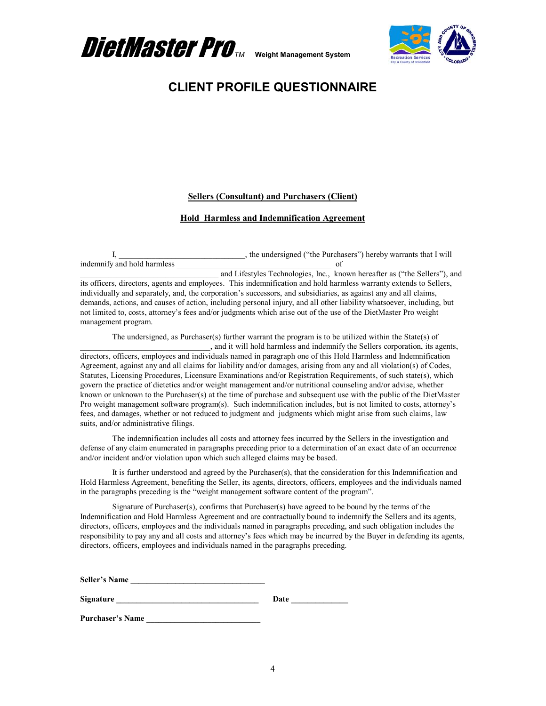



### **Sellers (Consultant) and Purchasers (Client)**

#### **Hold Harmless and Indemnification Agreement**

I, \_\_\_\_\_\_\_\_\_\_\_\_\_\_\_\_\_\_\_\_\_\_, the undersigned ("the Purchasers") hereby warrants that I will of indemnify and hold harmless

and Lifestyles Technologies, Inc., known hereafter as ("the Sellers"), and its officers, directors, agents and employees. This indemnification and hold harmless warranty extends to Sellers, individually and separately, and, the corporation's successors, and subsidiaries, as against any and all claims, demands, actions, and causes of action, including personal injury, and all other liability whatsoever, including, but not limited to, costs, attorney's fees and/or judgments which arise out of the use of the DietMaster Pro weight management program.

The undersigned, as Purchaser(s) further warrant the program is to be utilized within the State(s) of \_\_\_\_\_\_\_\_\_\_\_\_\_\_\_\_\_\_\_\_\_\_\_\_\_\_\_\_\_\_\_\_, and it will hold harmless and indemnify the Sellers corporation, its agents, directors, officers, employees and individuals named in paragraph one of this Hold Harmless and Indemnification Agreement, against any and all claims for liability and/or damages, arising from any and all violation(s) of Codes, Statutes, Licensing Procedures, Licensure Examinations and/or Registration Requirements, of such state(s), which govern the practice of dietetics and/or weight management and/or nutritional counseling and/or advise, whether known or unknown to the Purchaser(s) at the time of purchase and subsequent use with the public of the DietMaster Pro weight management software program(s). Such indemnification includes, but is not limited to costs, attorney's fees, and damages, whether or not reduced to judgment and judgments which might arise from such claims, law suits, and/or administrative filings.

The indemnification includes all costs and attorney fees incurred by the Sellers in the investigation and defense of any claim enumerated in paragraphs preceding prior to a determination of an exact date of an occurrence and/or incident and/or violation upon which such alleged claims may be based.

It is further understood and agreed by the Purchaser(s), that the consideration for this Indemnification and Hold Harmless Agreement, benefiting the Seller, its agents, directors, officers, employees and the individuals named in the paragraphs preceding is the "weight management software content of the program".

Signature of Purchaser(s), confirms that Purchaser(s) have agreed to be bound by the terms of the Indemnification and Hold Harmless Agreement and are contractually bound to indemnify the Sellers and its agents, directors, officers, employees and the individuals named in paragraphs preceding, and such obligation includes the responsibility to pay any and all costs and attorney's fees which may be incurred by the Buyer in defending its agents, directors, officers, employees and individuals named in the paragraphs preceding.

Seller's Name

**Signature** Date **Date** 

Purchaser's Name